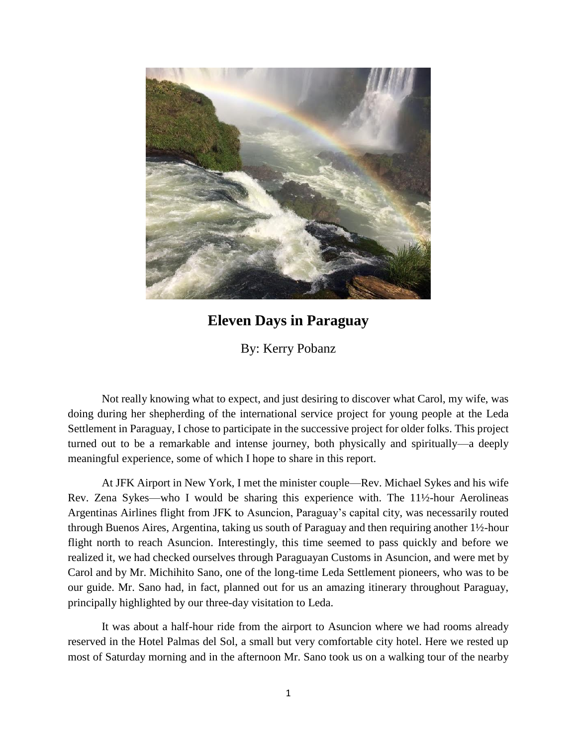

## **Eleven Days in Paraguay**

By: Kerry Pobanz

Not really knowing what to expect, and just desiring to discover what Carol, my wife, was doing during her shepherding of the international service project for young people at the Leda Settlement in Paraguay, I chose to participate in the successive project for older folks. This project turned out to be a remarkable and intense journey, both physically and spiritually—a deeply meaningful experience, some of which I hope to share in this report.

At JFK Airport in New York, I met the minister couple—Rev. Michael Sykes and his wife Rev. Zena Sykes—who I would be sharing this experience with. The 11½-hour Aerolineas Argentinas Airlines flight from JFK to Asuncion, Paraguay's capital city, was necessarily routed through Buenos Aires, Argentina, taking us south of Paraguay and then requiring another 1½-hour flight north to reach Asuncion. Interestingly, this time seemed to pass quickly and before we realized it, we had checked ourselves through Paraguayan Customs in Asuncion, and were met by Carol and by Mr. Michihito Sano, one of the long-time Leda Settlement pioneers, who was to be our guide. Mr. Sano had, in fact, planned out for us an amazing itinerary throughout Paraguay, principally highlighted by our three-day visitation to Leda.

It was about a half-hour ride from the airport to Asuncion where we had rooms already reserved in the Hotel Palmas del Sol, a small but very comfortable city hotel. Here we rested up most of Saturday morning and in the afternoon Mr. Sano took us on a walking tour of the nearby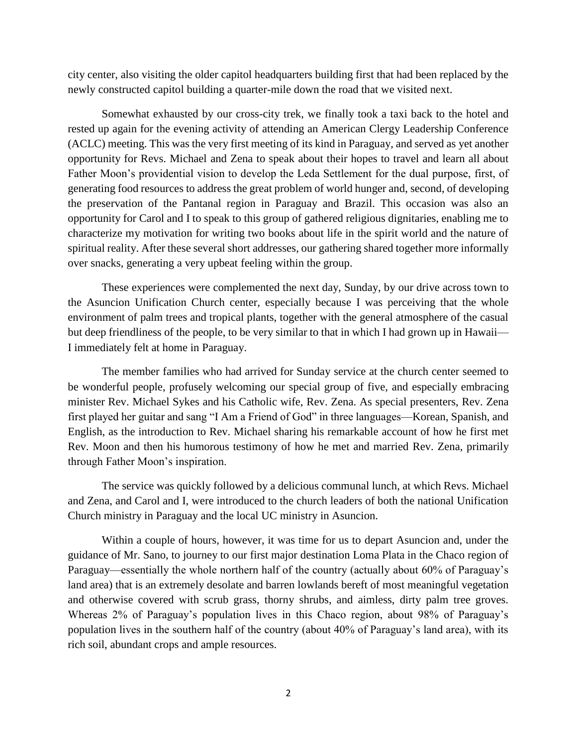city center, also visiting the older capitol headquarters building first that had been replaced by the newly constructed capitol building a quarter-mile down the road that we visited next.

Somewhat exhausted by our cross-city trek, we finally took a taxi back to the hotel and rested up again for the evening activity of attending an American Clergy Leadership Conference (ACLC) meeting. This was the very first meeting of its kind in Paraguay, and served as yet another opportunity for Revs. Michael and Zena to speak about their hopes to travel and learn all about Father Moon's providential vision to develop the Leda Settlement for the dual purpose, first, of generating food resources to address the great problem of world hunger and, second, of developing the preservation of the Pantanal region in Paraguay and Brazil. This occasion was also an opportunity for Carol and I to speak to this group of gathered religious dignitaries, enabling me to characterize my motivation for writing two books about life in the spirit world and the nature of spiritual reality. After these several short addresses, our gathering shared together more informally over snacks, generating a very upbeat feeling within the group.

These experiences were complemented the next day, Sunday, by our drive across town to the Asuncion Unification Church center, especially because I was perceiving that the whole environment of palm trees and tropical plants, together with the general atmosphere of the casual but deep friendliness of the people, to be very similar to that in which I had grown up in Hawaii— I immediately felt at home in Paraguay.

The member families who had arrived for Sunday service at the church center seemed to be wonderful people, profusely welcoming our special group of five, and especially embracing minister Rev. Michael Sykes and his Catholic wife, Rev. Zena. As special presenters, Rev. Zena first played her guitar and sang "I Am a Friend of God" in three languages—Korean, Spanish, and English, as the introduction to Rev. Michael sharing his remarkable account of how he first met Rev. Moon and then his humorous testimony of how he met and married Rev. Zena, primarily through Father Moon's inspiration.

The service was quickly followed by a delicious communal lunch, at which Revs. Michael and Zena, and Carol and I, were introduced to the church leaders of both the national Unification Church ministry in Paraguay and the local UC ministry in Asuncion.

Within a couple of hours, however, it was time for us to depart Asuncion and, under the guidance of Mr. Sano, to journey to our first major destination Loma Plata in the Chaco region of Paraguay—essentially the whole northern half of the country (actually about 60% of Paraguay's land area) that is an extremely desolate and barren lowlands bereft of most meaningful vegetation and otherwise covered with scrub grass, thorny shrubs, and aimless, dirty palm tree groves. Whereas 2% of Paraguay's population lives in this Chaco region, about 98% of Paraguay's population lives in the southern half of the country (about 40% of Paraguay's land area), with its rich soil, abundant crops and ample resources.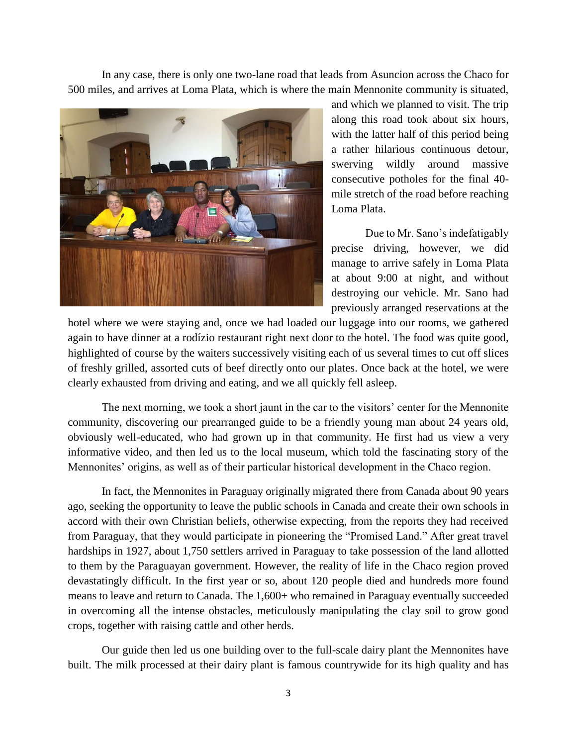In any case, there is only one two-lane road that leads from Asuncion across the Chaco for 500 miles, and arrives at Loma Plata, which is where the main Mennonite community is situated,



and which we planned to visit. The trip along this road took about six hours, with the latter half of this period being a rather hilarious continuous detour, swerving wildly around massive consecutive potholes for the final 40 mile stretch of the road before reaching Loma Plata.

Due to Mr. Sano's indefatigably precise driving, however, we did manage to arrive safely in Loma Plata at about 9:00 at night, and without destroying our vehicle. Mr. Sano had previously arranged reservations at the

hotel where we were staying and, once we had loaded our luggage into our rooms, we gathered again to have dinner at a rodízio restaurant right next door to the hotel. The food was quite good, highlighted of course by the waiters successively visiting each of us several times to cut off slices of freshly grilled, assorted cuts of beef directly onto our plates. Once back at the hotel, we were clearly exhausted from driving and eating, and we all quickly fell asleep.

The next morning, we took a short jaunt in the car to the visitors' center for the Mennonite community, discovering our prearranged guide to be a friendly young man about 24 years old, obviously well-educated, who had grown up in that community. He first had us view a very informative video, and then led us to the local museum, which told the fascinating story of the Mennonites' origins, as well as of their particular historical development in the Chaco region.

In fact, the Mennonites in Paraguay originally migrated there from Canada about 90 years ago, seeking the opportunity to leave the public schools in Canada and create their own schools in accord with their own Christian beliefs, otherwise expecting, from the reports they had received from Paraguay, that they would participate in pioneering the "Promised Land." After great travel hardships in 1927, about 1,750 settlers arrived in Paraguay to take possession of the land allotted to them by the Paraguayan government. However, the reality of life in the Chaco region proved devastatingly difficult. In the first year or so, about 120 people died and hundreds more found means to leave and return to Canada. The 1,600+ who remained in Paraguay eventually succeeded in overcoming all the intense obstacles, meticulously manipulating the clay soil to grow good crops, together with raising cattle and other herds.

Our guide then led us one building over to the full-scale dairy plant the Mennonites have built. The milk processed at their dairy plant is famous countrywide for its high quality and has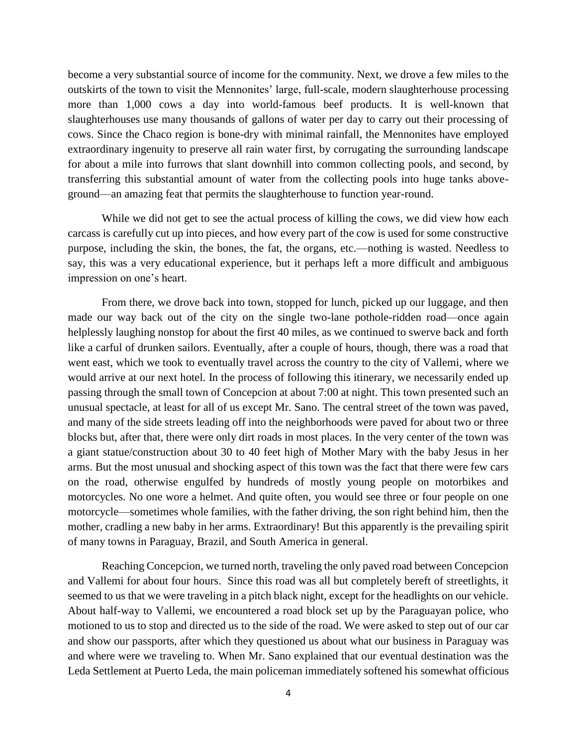become a very substantial source of income for the community. Next, we drove a few miles to the outskirts of the town to visit the Mennonites' large, full-scale, modern slaughterhouse processing more than 1,000 cows a day into world-famous beef products. It is well-known that slaughterhouses use many thousands of gallons of water per day to carry out their processing of cows. Since the Chaco region is bone-dry with minimal rainfall, the Mennonites have employed extraordinary ingenuity to preserve all rain water first, by corrugating the surrounding landscape for about a mile into furrows that slant downhill into common collecting pools, and second, by transferring this substantial amount of water from the collecting pools into huge tanks aboveground—an amazing feat that permits the slaughterhouse to function year-round.

While we did not get to see the actual process of killing the cows, we did view how each carcass is carefully cut up into pieces, and how every part of the cow is used for some constructive purpose, including the skin, the bones, the fat, the organs, etc.—nothing is wasted. Needless to say, this was a very educational experience, but it perhaps left a more difficult and ambiguous impression on one's heart.

From there, we drove back into town, stopped for lunch, picked up our luggage, and then made our way back out of the city on the single two-lane pothole-ridden road—once again helplessly laughing nonstop for about the first 40 miles, as we continued to swerve back and forth like a carful of drunken sailors. Eventually, after a couple of hours, though, there was a road that went east, which we took to eventually travel across the country to the city of Vallemi, where we would arrive at our next hotel. In the process of following this itinerary, we necessarily ended up passing through the small town of Concepcion at about 7:00 at night. This town presented such an unusual spectacle, at least for all of us except Mr. Sano. The central street of the town was paved, and many of the side streets leading off into the neighborhoods were paved for about two or three blocks but, after that, there were only dirt roads in most places. In the very center of the town was a giant statue/construction about 30 to 40 feet high of Mother Mary with the baby Jesus in her arms. But the most unusual and shocking aspect of this town was the fact that there were few cars on the road, otherwise engulfed by hundreds of mostly young people on motorbikes and motorcycles. No one wore a helmet. And quite often, you would see three or four people on one motorcycle—sometimes whole families, with the father driving, the son right behind him, then the mother, cradling a new baby in her arms. Extraordinary! But this apparently is the prevailing spirit of many towns in Paraguay, Brazil, and South America in general.

Reaching Concepcion, we turned north, traveling the only paved road between Concepcion and Vallemi for about four hours. Since this road was all but completely bereft of streetlights, it seemed to us that we were traveling in a pitch black night, except for the headlights on our vehicle. About half-way to Vallemi, we encountered a road block set up by the Paraguayan police, who motioned to us to stop and directed us to the side of the road. We were asked to step out of our car and show our passports, after which they questioned us about what our business in Paraguay was and where were we traveling to. When Mr. Sano explained that our eventual destination was the Leda Settlement at Puerto Leda, the main policeman immediately softened his somewhat officious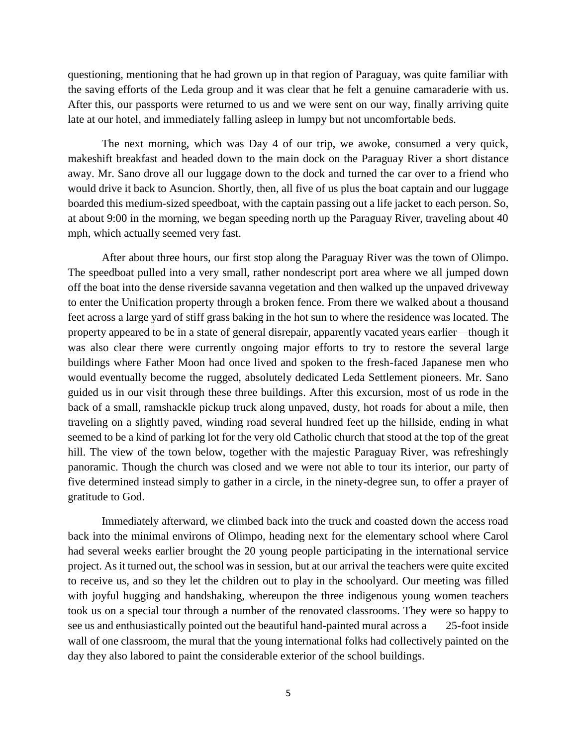questioning, mentioning that he had grown up in that region of Paraguay, was quite familiar with the saving efforts of the Leda group and it was clear that he felt a genuine camaraderie with us. After this, our passports were returned to us and we were sent on our way, finally arriving quite late at our hotel, and immediately falling asleep in lumpy but not uncomfortable beds.

The next morning, which was Day 4 of our trip, we awoke, consumed a very quick, makeshift breakfast and headed down to the main dock on the Paraguay River a short distance away. Mr. Sano drove all our luggage down to the dock and turned the car over to a friend who would drive it back to Asuncion. Shortly, then, all five of us plus the boat captain and our luggage boarded this medium-sized speedboat, with the captain passing out a life jacket to each person. So, at about 9:00 in the morning, we began speeding north up the Paraguay River, traveling about 40 mph, which actually seemed very fast.

After about three hours, our first stop along the Paraguay River was the town of Olimpo. The speedboat pulled into a very small, rather nondescript port area where we all jumped down off the boat into the dense riverside savanna vegetation and then walked up the unpaved driveway to enter the Unification property through a broken fence. From there we walked about a thousand feet across a large yard of stiff grass baking in the hot sun to where the residence was located. The property appeared to be in a state of general disrepair, apparently vacated years earlier—though it was also clear there were currently ongoing major efforts to try to restore the several large buildings where Father Moon had once lived and spoken to the fresh-faced Japanese men who would eventually become the rugged, absolutely dedicated Leda Settlement pioneers. Mr. Sano guided us in our visit through these three buildings. After this excursion, most of us rode in the back of a small, ramshackle pickup truck along unpaved, dusty, hot roads for about a mile, then traveling on a slightly paved, winding road several hundred feet up the hillside, ending in what seemed to be a kind of parking lot for the very old Catholic church that stood at the top of the great hill. The view of the town below, together with the majestic Paraguay River, was refreshingly panoramic. Though the church was closed and we were not able to tour its interior, our party of five determined instead simply to gather in a circle, in the ninety-degree sun, to offer a prayer of gratitude to God.

Immediately afterward, we climbed back into the truck and coasted down the access road back into the minimal environs of Olimpo, heading next for the elementary school where Carol had several weeks earlier brought the 20 young people participating in the international service project. As it turned out, the school was in session, but at our arrival the teachers were quite excited to receive us, and so they let the children out to play in the schoolyard. Our meeting was filled with joyful hugging and handshaking, whereupon the three indigenous young women teachers took us on a special tour through a number of the renovated classrooms. They were so happy to see us and enthusiastically pointed out the beautiful hand-painted mural across a 25-foot inside wall of one classroom, the mural that the young international folks had collectively painted on the day they also labored to paint the considerable exterior of the school buildings.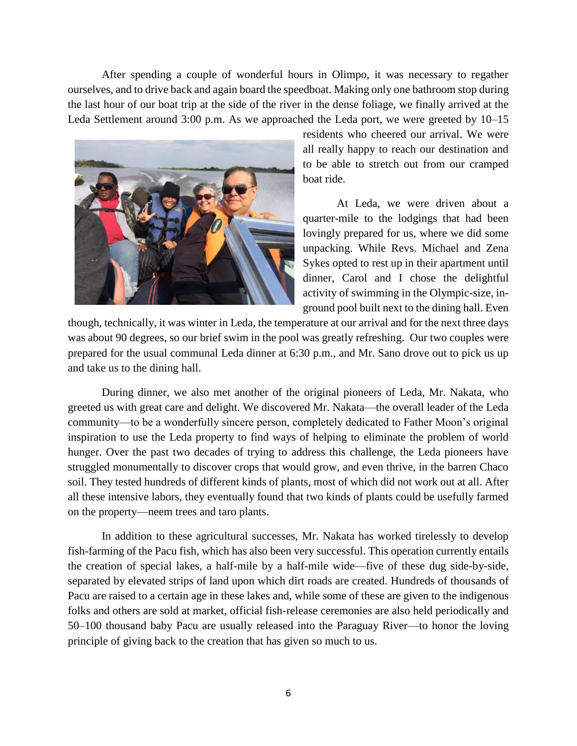After spending a couple of wonderful hours in Olimpo, it was necessary to regather ourselves, and to drive back and again board the speedboat. Making only one bathroom stop during the last hour of our boat trip at the side of the river in the dense foliage, we finally arrived at the Leda Settlement around 3:00 p.m. As we approached the Leda port, we were greeted by 10–15



residents who cheered our arrival. We were all really happy to reach our destination and to be able to stretch out from our cramped boat ride.

At Leda, we were driven about a quarter-mile to the lodgings that had been lovingly prepared for us, where we did some unpacking. While Revs. Michael and Zena Sykes opted to rest up in their apartment until dinner, Carol and I chose the delightful activity of swimming in the Olympic-size, inground pool built next to the dining hall. Even

though, technically, it was winter in Leda, the temperature at our arrival and for the next three days was about 90 degrees, so our brief swim in the pool was greatly refreshing. Our two couples were prepared for the usual communal Leda dinner at 6:30 p.m., and Mr. Sano drove out to pick us up and take us to the dining hall.

During dinner, we also met another of the original pioneers of Leda, Mr. Nakata, who greeted us with great care and delight. We discovered Mr. Nakata—the overall leader of the Leda community—to be a wonderfully sincere person, completely dedicated to Father Moon's original inspiration to use the Leda property to find ways of helping to eliminate the problem of world hunger. Over the past two decades of trying to address this challenge, the Leda pioneers have struggled monumentally to discover crops that would grow, and even thrive, in the barren Chaco soil. They tested hundreds of different kinds of plants, most of which did not work out at all. After all these intensive labors, they eventually found that two kinds of plants could be usefully farmed on the property—neem trees and taro plants.

In addition to these agricultural successes, Mr. Nakata has worked tirelessly to develop fish-farming of the Pacu fish, which has also been very successful. This operation currently entails the creation of special lakes, a half-mile by a half-mile wide—five of these dug side-by-side, separated by elevated strips of land upon which dirt roads are created. Hundreds of thousands of Pacu are raised to a certain age in these lakes and, while some of these are given to the indigenous folks and others are sold at market, official fish-release ceremonies are also held periodically and 50–100 thousand baby Pacu are usually released into the Paraguay River—to honor the loving principle of giving back to the creation that has given so much to us.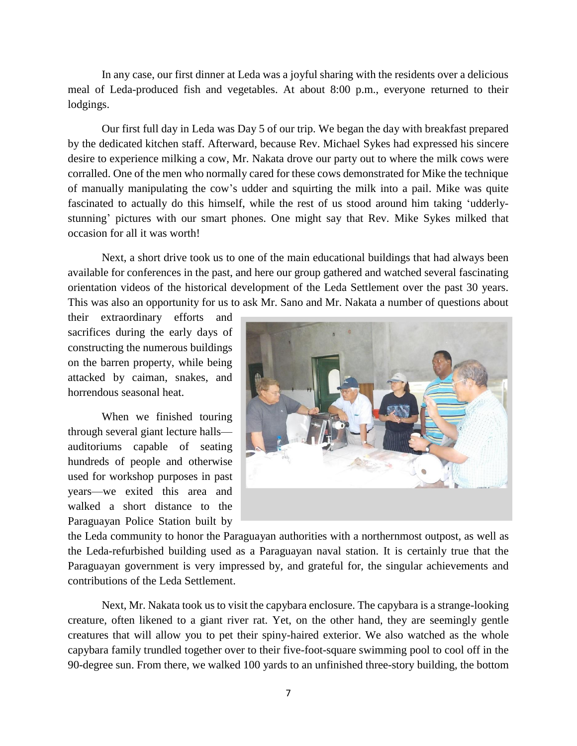In any case, our first dinner at Leda was a joyful sharing with the residents over a delicious meal of Leda-produced fish and vegetables. At about 8:00 p.m., everyone returned to their lodgings.

Our first full day in Leda was Day 5 of our trip. We began the day with breakfast prepared by the dedicated kitchen staff. Afterward, because Rev. Michael Sykes had expressed his sincere desire to experience milking a cow, Mr. Nakata drove our party out to where the milk cows were corralled. One of the men who normally cared for these cows demonstrated for Mike the technique of manually manipulating the cow's udder and squirting the milk into a pail. Mike was quite fascinated to actually do this himself, while the rest of us stood around him taking 'udderlystunning' pictures with our smart phones. One might say that Rev. Mike Sykes milked that occasion for all it was worth!

Next, a short drive took us to one of the main educational buildings that had always been available for conferences in the past, and here our group gathered and watched several fascinating orientation videos of the historical development of the Leda Settlement over the past 30 years. This was also an opportunity for us to ask Mr. Sano and Mr. Nakata a number of questions about

their extraordinary efforts and sacrifices during the early days of constructing the numerous buildings on the barren property, while being attacked by caiman, snakes, and horrendous seasonal heat.

When we finished touring through several giant lecture halls auditoriums capable of seating hundreds of people and otherwise used for workshop purposes in past years—we exited this area and walked a short distance to the Paraguayan Police Station built by



the Leda community to honor the Paraguayan authorities with a northernmost outpost, as well as the Leda-refurbished building used as a Paraguayan naval station. It is certainly true that the Paraguayan government is very impressed by, and grateful for, the singular achievements and contributions of the Leda Settlement.

Next, Mr. Nakata took us to visit the capybara enclosure. The capybara is a strange-looking creature, often likened to a giant river rat. Yet, on the other hand, they are seemingly gentle creatures that will allow you to pet their spiny-haired exterior. We also watched as the whole capybara family trundled together over to their five-foot-square swimming pool to cool off in the 90-degree sun. From there, we walked 100 yards to an unfinished three-story building, the bottom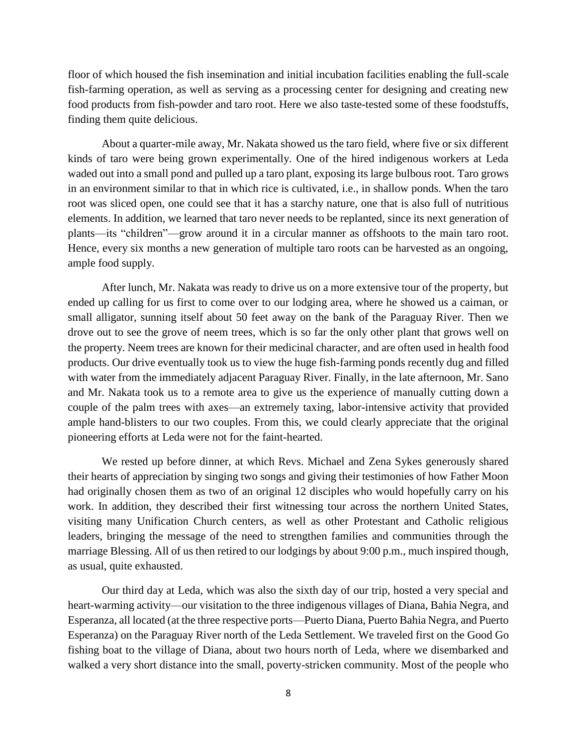floor of which housed the fish insemination and initial incubation facilities enabling the full-scale fish-farming operation, as well as serving as a processing center for designing and creating new food products from fish-powder and taro root. Here we also taste-tested some of these foodstuffs, finding them quite delicious.

About a quarter-mile away, Mr. Nakata showed us the taro field, where five or six different kinds of taro were being grown experimentally. One of the hired indigenous workers at Leda waded out into a small pond and pulled up a taro plant, exposing its large bulbous root. Taro grows in an environment similar to that in which rice is cultivated, i.e., in shallow ponds. When the taro root was sliced open, one could see that it has a starchy nature, one that is also full of nutritious elements. In addition, we learned that taro never needs to be replanted, since its next generation of plants—its "children"—grow around it in a circular manner as offshoots to the main taro root. Hence, every six months a new generation of multiple taro roots can be harvested as an ongoing, ample food supply.

After lunch, Mr. Nakata was ready to drive us on a more extensive tour of the property, but ended up calling for us first to come over to our lodging area, where he showed us a caiman, or small alligator, sunning itself about 50 feet away on the bank of the Paraguay River. Then we drove out to see the grove of neem trees, which is so far the only other plant that grows well on the property. Neem trees are known for their medicinal character, and are often used in health food products. Our drive eventually took us to view the huge fish-farming ponds recently dug and filled with water from the immediately adjacent Paraguay River. Finally, in the late afternoon, Mr. Sano and Mr. Nakata took us to a remote area to give us the experience of manually cutting down a couple of the palm trees with axes—an extremely taxing, labor-intensive activity that provided ample hand-blisters to our two couples. From this, we could clearly appreciate that the original pioneering efforts at Leda were not for the faint-hearted.

We rested up before dinner, at which Revs. Michael and Zena Sykes generously shared their hearts of appreciation by singing two songs and giving their testimonies of how Father Moon had originally chosen them as two of an original 12 disciples who would hopefully carry on his work. In addition, they described their first witnessing tour across the northern United States, visiting many Unification Church centers, as well as other Protestant and Catholic religious leaders, bringing the message of the need to strengthen families and communities through the marriage Blessing. All of us then retired to our lodgings by about 9:00 p.m., much inspired though, as usual, quite exhausted.

Our third day at Leda, which was also the sixth day of our trip, hosted a very special and heart-warming activity—our visitation to the three indigenous villages of Diana, Bahia Negra, and Esperanza, all located (at the three respective ports—Puerto Diana, Puerto Bahia Negra, and Puerto Esperanza) on the Paraguay River north of the Leda Settlement. We traveled first on the Good Go fishing boat to the village of Diana, about two hours north of Leda, where we disembarked and walked a very short distance into the small, poverty-stricken community. Most of the people who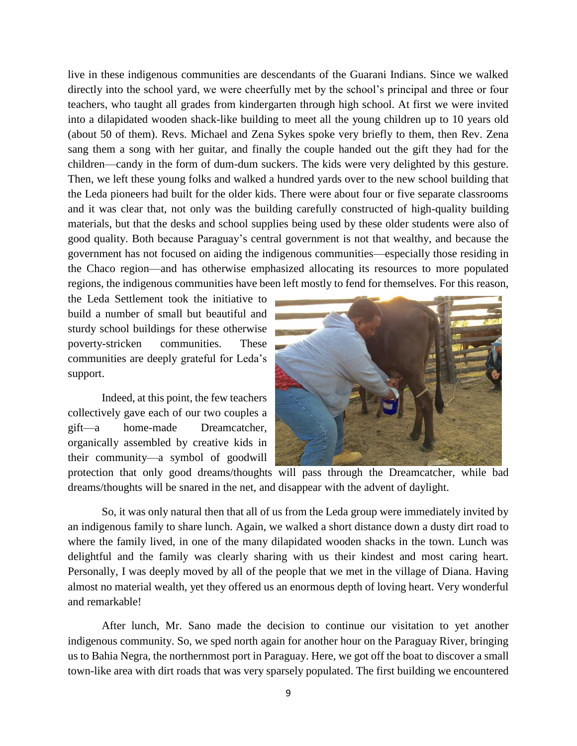live in these indigenous communities are descendants of the Guarani Indians. Since we walked directly into the school yard, we were cheerfully met by the school's principal and three or four teachers, who taught all grades from kindergarten through high school. At first we were invited into a dilapidated wooden shack-like building to meet all the young children up to 10 years old (about 50 of them). Revs. Michael and Zena Sykes spoke very briefly to them, then Rev. Zena sang them a song with her guitar, and finally the couple handed out the gift they had for the children—candy in the form of dum-dum suckers. The kids were very delighted by this gesture. Then, we left these young folks and walked a hundred yards over to the new school building that the Leda pioneers had built for the older kids. There were about four or five separate classrooms and it was clear that, not only was the building carefully constructed of high-quality building materials, but that the desks and school supplies being used by these older students were also of good quality. Both because Paraguay's central government is not that wealthy, and because the government has not focused on aiding the indigenous communities—especially those residing in the Chaco region—and has otherwise emphasized allocating its resources to more populated regions, the indigenous communities have been left mostly to fend for themselves. For this reason,

the Leda Settlement took the initiative to build a number of small but beautiful and sturdy school buildings for these otherwise poverty-stricken communities. These communities are deeply grateful for Leda's support.

Indeed, at this point, the few teachers collectively gave each of our two couples a gift—a home-made Dreamcatcher, organically assembled by creative kids in their community—a symbol of goodwill



protection that only good dreams/thoughts will pass through the Dreamcatcher, while bad dreams/thoughts will be snared in the net, and disappear with the advent of daylight.

So, it was only natural then that all of us from the Leda group were immediately invited by an indigenous family to share lunch. Again, we walked a short distance down a dusty dirt road to where the family lived, in one of the many dilapidated wooden shacks in the town. Lunch was delightful and the family was clearly sharing with us their kindest and most caring heart. Personally, I was deeply moved by all of the people that we met in the village of Diana. Having almost no material wealth, yet they offered us an enormous depth of loving heart. Very wonderful and remarkable!

After lunch, Mr. Sano made the decision to continue our visitation to yet another indigenous community. So, we sped north again for another hour on the Paraguay River, bringing us to Bahia Negra, the northernmost port in Paraguay. Here, we got off the boat to discover a small town-like area with dirt roads that was very sparsely populated. The first building we encountered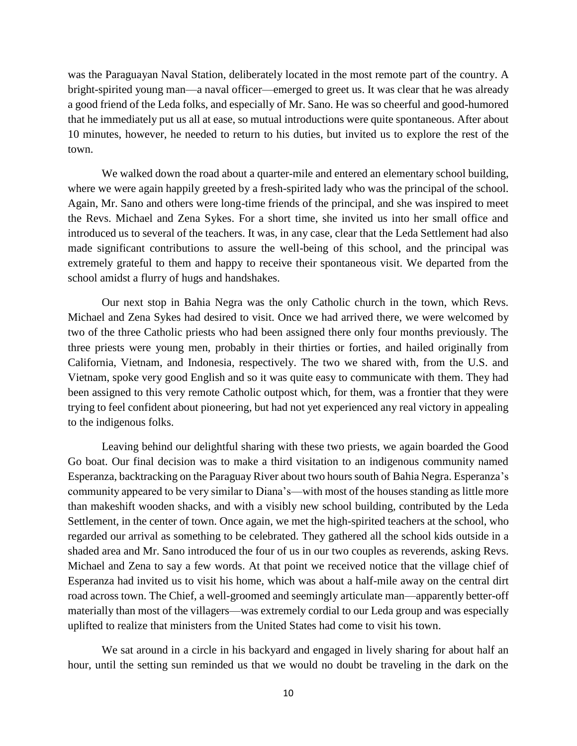was the Paraguayan Naval Station, deliberately located in the most remote part of the country. A bright-spirited young man—a naval officer—emerged to greet us. It was clear that he was already a good friend of the Leda folks, and especially of Mr. Sano. He was so cheerful and good-humored that he immediately put us all at ease, so mutual introductions were quite spontaneous. After about 10 minutes, however, he needed to return to his duties, but invited us to explore the rest of the town.

We walked down the road about a quarter-mile and entered an elementary school building, where we were again happily greeted by a fresh-spirited lady who was the principal of the school. Again, Mr. Sano and others were long-time friends of the principal, and she was inspired to meet the Revs. Michael and Zena Sykes. For a short time, she invited us into her small office and introduced us to several of the teachers. It was, in any case, clear that the Leda Settlement had also made significant contributions to assure the well-being of this school, and the principal was extremely grateful to them and happy to receive their spontaneous visit. We departed from the school amidst a flurry of hugs and handshakes.

Our next stop in Bahia Negra was the only Catholic church in the town, which Revs. Michael and Zena Sykes had desired to visit. Once we had arrived there, we were welcomed by two of the three Catholic priests who had been assigned there only four months previously. The three priests were young men, probably in their thirties or forties, and hailed originally from California, Vietnam, and Indonesia, respectively. The two we shared with, from the U.S. and Vietnam, spoke very good English and so it was quite easy to communicate with them. They had been assigned to this very remote Catholic outpost which, for them, was a frontier that they were trying to feel confident about pioneering, but had not yet experienced any real victory in appealing to the indigenous folks.

Leaving behind our delightful sharing with these two priests, we again boarded the Good Go boat. Our final decision was to make a third visitation to an indigenous community named Esperanza, backtracking on the Paraguay River about two hours south of Bahia Negra. Esperanza's community appeared to be very similar to Diana's—with most of the houses standing as little more than makeshift wooden shacks, and with a visibly new school building, contributed by the Leda Settlement, in the center of town. Once again, we met the high-spirited teachers at the school, who regarded our arrival as something to be celebrated. They gathered all the school kids outside in a shaded area and Mr. Sano introduced the four of us in our two couples as reverends, asking Revs. Michael and Zena to say a few words. At that point we received notice that the village chief of Esperanza had invited us to visit his home, which was about a half-mile away on the central dirt road across town. The Chief, a well-groomed and seemingly articulate man—apparently better-off materially than most of the villagers—was extremely cordial to our Leda group and was especially uplifted to realize that ministers from the United States had come to visit his town.

We sat around in a circle in his backyard and engaged in lively sharing for about half an hour, until the setting sun reminded us that we would no doubt be traveling in the dark on the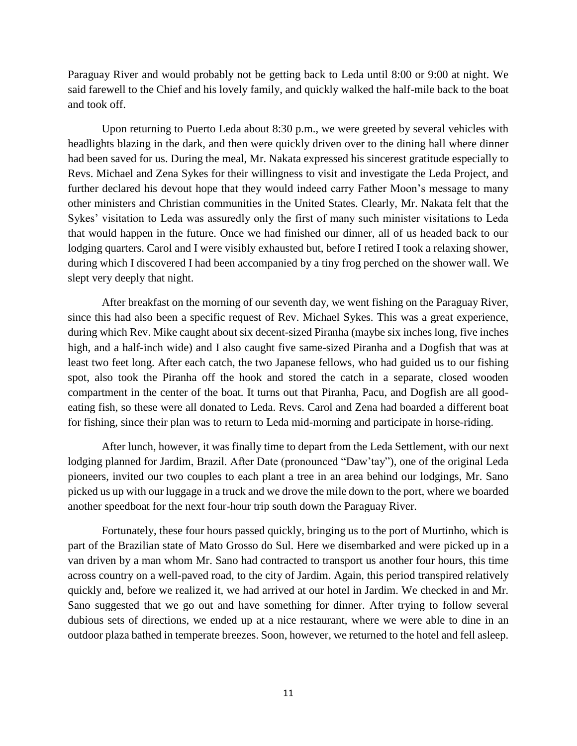Paraguay River and would probably not be getting back to Leda until 8:00 or 9:00 at night. We said farewell to the Chief and his lovely family, and quickly walked the half-mile back to the boat and took off.

Upon returning to Puerto Leda about 8:30 p.m., we were greeted by several vehicles with headlights blazing in the dark, and then were quickly driven over to the dining hall where dinner had been saved for us. During the meal, Mr. Nakata expressed his sincerest gratitude especially to Revs. Michael and Zena Sykes for their willingness to visit and investigate the Leda Project, and further declared his devout hope that they would indeed carry Father Moon's message to many other ministers and Christian communities in the United States. Clearly, Mr. Nakata felt that the Sykes' visitation to Leda was assuredly only the first of many such minister visitations to Leda that would happen in the future. Once we had finished our dinner, all of us headed back to our lodging quarters. Carol and I were visibly exhausted but, before I retired I took a relaxing shower, during which I discovered I had been accompanied by a tiny frog perched on the shower wall. We slept very deeply that night.

After breakfast on the morning of our seventh day, we went fishing on the Paraguay River, since this had also been a specific request of Rev. Michael Sykes. This was a great experience, during which Rev. Mike caught about six decent-sized Piranha (maybe six inches long, five inches high, and a half-inch wide) and I also caught five same-sized Piranha and a Dogfish that was at least two feet long. After each catch, the two Japanese fellows, who had guided us to our fishing spot, also took the Piranha off the hook and stored the catch in a separate, closed wooden compartment in the center of the boat. It turns out that Piranha, Pacu, and Dogfish are all goodeating fish, so these were all donated to Leda. Revs. Carol and Zena had boarded a different boat for fishing, since their plan was to return to Leda mid-morning and participate in horse-riding.

After lunch, however, it was finally time to depart from the Leda Settlement, with our next lodging planned for Jardim, Brazil. After Date (pronounced "Daw'tay"), one of the original Leda pioneers, invited our two couples to each plant a tree in an area behind our lodgings, Mr. Sano picked us up with our luggage in a truck and we drove the mile down to the port, where we boarded another speedboat for the next four-hour trip south down the Paraguay River.

Fortunately, these four hours passed quickly, bringing us to the port of Murtinho, which is part of the Brazilian state of Mato Grosso do Sul. Here we disembarked and were picked up in a van driven by a man whom Mr. Sano had contracted to transport us another four hours, this time across country on a well-paved road, to the city of Jardim. Again, this period transpired relatively quickly and, before we realized it, we had arrived at our hotel in Jardim. We checked in and Mr. Sano suggested that we go out and have something for dinner. After trying to follow several dubious sets of directions, we ended up at a nice restaurant, where we were able to dine in an outdoor plaza bathed in temperate breezes. Soon, however, we returned to the hotel and fell asleep.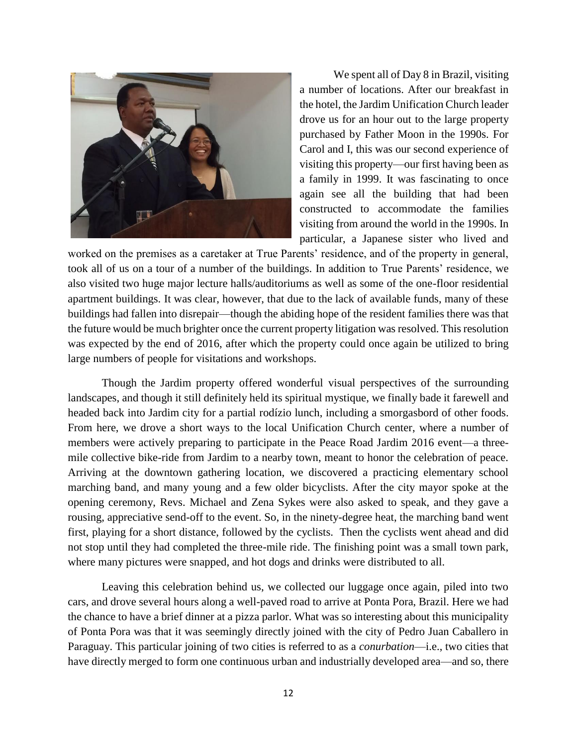

We spent all of Day 8 in Brazil, visiting a number of locations. After our breakfast in the hotel, the Jardim Unification Church leader drove us for an hour out to the large property purchased by Father Moon in the 1990s. For Carol and I, this was our second experience of visiting this property—our first having been as a family in 1999. It was fascinating to once again see all the building that had been constructed to accommodate the families visiting from around the world in the 1990s. In particular, a Japanese sister who lived and

worked on the premises as a caretaker at True Parents' residence, and of the property in general, took all of us on a tour of a number of the buildings. In addition to True Parents' residence, we also visited two huge major lecture halls/auditoriums as well as some of the one-floor residential apartment buildings. It was clear, however, that due to the lack of available funds, many of these buildings had fallen into disrepair—though the abiding hope of the resident families there was that the future would be much brighter once the current property litigation was resolved. This resolution was expected by the end of 2016, after which the property could once again be utilized to bring large numbers of people for visitations and workshops.

Though the Jardim property offered wonderful visual perspectives of the surrounding landscapes, and though it still definitely held its spiritual mystique, we finally bade it farewell and headed back into Jardim city for a partial rodízio lunch, including a smorgasbord of other foods. From here, we drove a short ways to the local Unification Church center, where a number of members were actively preparing to participate in the Peace Road Jardim 2016 event—a threemile collective bike-ride from Jardim to a nearby town, meant to honor the celebration of peace. Arriving at the downtown gathering location, we discovered a practicing elementary school marching band, and many young and a few older bicyclists. After the city mayor spoke at the opening ceremony, Revs. Michael and Zena Sykes were also asked to speak, and they gave a rousing, appreciative send-off to the event. So, in the ninety-degree heat, the marching band went first, playing for a short distance, followed by the cyclists. Then the cyclists went ahead and did not stop until they had completed the three-mile ride. The finishing point was a small town park, where many pictures were snapped, and hot dogs and drinks were distributed to all.

Leaving this celebration behind us, we collected our luggage once again, piled into two cars, and drove several hours along a well-paved road to arrive at Ponta Pora, Brazil. Here we had the chance to have a brief dinner at a pizza parlor. What was so interesting about this municipality of Ponta Pora was that it was seemingly directly joined with the city of Pedro Juan Caballero in Paraguay. This particular joining of two cities is referred to as a *conurbation*—i.e., two cities that have directly merged to form one continuous urban and industrially developed area—and so, there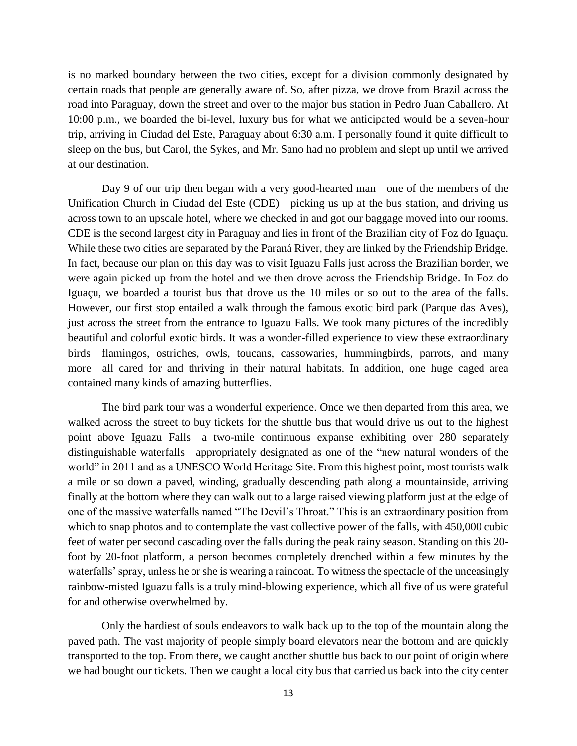is no marked boundary between the two cities, except for a division commonly designated by certain roads that people are generally aware of. So, after pizza, we drove from Brazil across the road into Paraguay, down the street and over to the major bus station in Pedro Juan Caballero. At 10:00 p.m., we boarded the bi-level, luxury bus for what we anticipated would be a seven-hour trip, arriving in Ciudad del Este, Paraguay about 6:30 a.m. I personally found it quite difficult to sleep on the bus, but Carol, the Sykes, and Mr. Sano had no problem and slept up until we arrived at our destination.

Day 9 of our trip then began with a very good-hearted man—one of the members of the Unification Church in Ciudad del Este (CDE)—picking us up at the bus station, and driving us across town to an upscale hotel, where we checked in and got our baggage moved into our rooms. CDE is the second largest city in Paraguay and lies in front of the Brazilian city of Foz do Iguaçu. While these two cities are separated by the Paraná River, they are linked by the Friendship Bridge. In fact, because our plan on this day was to visit Iguazu Falls just across the Brazilian border, we were again picked up from the hotel and we then drove across the Friendship Bridge. In Foz do Iguaçu, we boarded a tourist bus that drove us the 10 miles or so out to the area of the falls. However, our first stop entailed a walk through the famous exotic bird park (Parque das Aves), just across the street from the entrance to Iguazu Falls. We took many pictures of the incredibly beautiful and colorful exotic birds. It was a wonder-filled experience to view these extraordinary birds—flamingos, ostriches, owls, toucans, cassowaries, hummingbirds, parrots, and many more—all cared for and thriving in their natural habitats. In addition, one huge caged area contained many kinds of amazing butterflies.

The bird park tour was a wonderful experience. Once we then departed from this area, we walked across the street to buy tickets for the shuttle bus that would drive us out to the highest point above Iguazu Falls—a two-mile continuous expanse exhibiting over 280 separately distinguishable waterfalls—appropriately designated as one of the "new natural wonders of the world" in 2011 and as a UNESCO World Heritage Site. From this highest point, most tourists walk a mile or so down a paved, winding, gradually descending path along a mountainside, arriving finally at the bottom where they can walk out to a large raised viewing platform just at the edge of one of the massive waterfalls named "The Devil's Throat." This is an extraordinary position from which to snap photos and to contemplate the vast collective power of the falls, with 450,000 cubic feet of water per second cascading over the falls during the peak rainy season. Standing on this 20 foot by 20-foot platform, a person becomes completely drenched within a few minutes by the waterfalls' spray, unless he or she is wearing a raincoat. To witness the spectacle of the unceasingly rainbow-misted Iguazu falls is a truly mind-blowing experience, which all five of us were grateful for and otherwise overwhelmed by.

Only the hardiest of souls endeavors to walk back up to the top of the mountain along the paved path. The vast majority of people simply board elevators near the bottom and are quickly transported to the top. From there, we caught another shuttle bus back to our point of origin where we had bought our tickets. Then we caught a local city bus that carried us back into the city center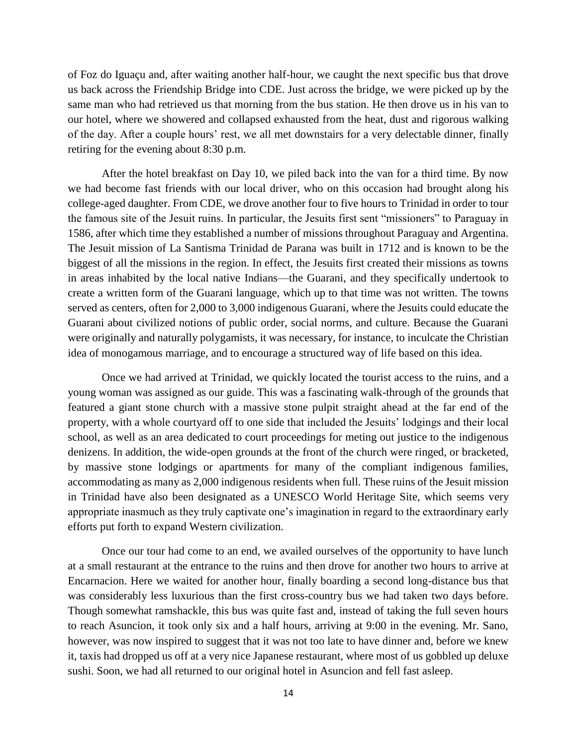of Foz do Iguaçu and, after waiting another half-hour, we caught the next specific bus that drove us back across the Friendship Bridge into CDE. Just across the bridge, we were picked up by the same man who had retrieved us that morning from the bus station. He then drove us in his van to our hotel, where we showered and collapsed exhausted from the heat, dust and rigorous walking of the day. After a couple hours' rest, we all met downstairs for a very delectable dinner, finally retiring for the evening about 8:30 p.m.

After the hotel breakfast on Day 10, we piled back into the van for a third time. By now we had become fast friends with our local driver, who on this occasion had brought along his college-aged daughter. From CDE, we drove another four to five hours to Trinidad in order to tour the famous site of the Jesuit ruins. In particular, the Jesuits first sent "missioners" to Paraguay in 1586, after which time they established a number of missions throughout Paraguay and Argentina. The Jesuit mission of La Santisma Trinidad de Parana was built in 1712 and is known to be the biggest of all the missions in the region. In effect, the Jesuits first created their missions as towns in areas inhabited by the local native Indians—the Guarani, and they specifically undertook to create a written form of the Guarani language, which up to that time was not written. The towns served as centers, often for 2,000 to 3,000 indigenous Guarani, where the Jesuits could educate the Guarani about civilized notions of public order, social norms, and culture. Because the Guarani were originally and naturally polygamists, it was necessary, for instance, to inculcate the Christian idea of monogamous marriage, and to encourage a structured way of life based on this idea.

Once we had arrived at Trinidad, we quickly located the tourist access to the ruins, and a young woman was assigned as our guide. This was a fascinating walk-through of the grounds that featured a giant stone church with a massive stone pulpit straight ahead at the far end of the property, with a whole courtyard off to one side that included the Jesuits' lodgings and their local school, as well as an area dedicated to court proceedings for meting out justice to the indigenous denizens. In addition, the wide-open grounds at the front of the church were ringed, or bracketed, by massive stone lodgings or apartments for many of the compliant indigenous families, accommodating as many as 2,000 indigenous residents when full. These ruins of the Jesuit mission in Trinidad have also been designated as a UNESCO World Heritage Site, which seems very appropriate inasmuch as they truly captivate one's imagination in regard to the extraordinary early efforts put forth to expand Western civilization.

Once our tour had come to an end, we availed ourselves of the opportunity to have lunch at a small restaurant at the entrance to the ruins and then drove for another two hours to arrive at Encarnacion. Here we waited for another hour, finally boarding a second long-distance bus that was considerably less luxurious than the first cross-country bus we had taken two days before. Though somewhat ramshackle, this bus was quite fast and, instead of taking the full seven hours to reach Asuncion, it took only six and a half hours, arriving at 9:00 in the evening. Mr. Sano, however, was now inspired to suggest that it was not too late to have dinner and, before we knew it, taxis had dropped us off at a very nice Japanese restaurant, where most of us gobbled up deluxe sushi. Soon, we had all returned to our original hotel in Asuncion and fell fast asleep.